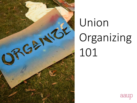

# Union Organizing 101

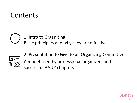#### Contents

#### 1: Intro to Organizing

Basic principles and why they are effective



2: Presentation to Give to an Organizing Committee A model used by professional organizers and successful AAUP chapters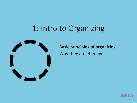## 1: Intro to Organizing



Basic principles of organizing Why they are effective

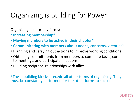### Organizing is Building for Power

Organizing takes many forms:

- **Increasing membership\***
- **Moving members to be active in their chapter\***
- **Communicating with members about needs, concerns, victories\***
- Planning and carrying out actions to improve working conditions
- Obtaining commitments from members to complete tasks, come to meetings, and participate in actions
- Building reciprocal relationships with allies

\*These building blocks precede all other forms of organizing. They must be constantly performed for the other forms to succeed.

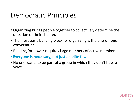#### Democratic Principles

- Organizing brings people together to collectively determine the direction of their chapter.
- The most basic building block for organizing is the one-on-one conversation.
- Building for power requires large numbers of active members.
- **Everyone is necessary, not just an elite few.**
- No one wants to be part of a group in which they don't have a voice.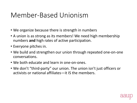#### Member-Based Unionism

- We organize because there is strength in numbers
- A union is as strong as its members! We need high membership numbers **and** high rates of active participation.
- Everyone pitches in.
- We build and strengthen our union through repeated one-on-one conversations.
- We both educate and learn in one-on-ones.
- We don't "third-party" our union. The union isn't just officers or activists or national affiliates—it IS the members.

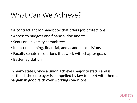#### What Can We Achieve?

- A contract and/or handbook that offers job protections
- Access to budgets and financial documents
- Seats on university committees
- Input on planning, financial, and academic decisions
- Faculty senate resolutions that work with chapter goals
- Better legislation

In many states, once a union achieves majority status and is certified, the employer is compelled by law to meet with them and bargain in good faith over working conditions.

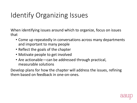### Identify Organizing Issues

When identifying issues around which to organize, focus on issues that

- Come up repeatedly in conversations across many departments and important to many people
- Reflect the goals of the chapter
- Motivate people to get involved
- Are actionable—can be addressed through practical, measurable solutions

Develop plans for how the chapter will address the issues, refining them based on feedback in one-on-ones.

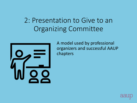#### 2: Presentation to Give to an Organizing Committee



A model used by professional organizers and successful AAUP chapters

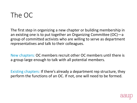#### The OC

The first step in organizing a new chapter or building membership in an existing one is to put together an Organizing Committee (OC)—a group of committed activists who are willing to serve as department representatives and talk to their colleagues.

New chapters: OC members recruit other OC members until there is a group large enough to talk with all potential members.

Existing chapters: If there's already a department rep structure, they perform the functions of an OC. If not, one will need to be formed.

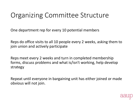#### Organizing Committee Structure

One department rep for every 10 potential members

Reps do office visits to all 10 people every 2 weeks, asking them to join union and actively participate

Reps meet every 2 weeks and turn in completed membership forms, discuss problems and what is/isn't working, help develop strategy

Repeat until everyone in bargaining unit has either joined or made obvious will not join.

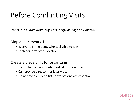### Before Conducting Visits

Recruit department reps for organizing committee

Map departments. List:

- Everyone in the dept. who is eligible to join
- Each person's office location

Create a piece of lit for organizing

- Useful to have ready when asked for more info
- Can provide a reason for later visits
- Do not overly rely on lit! Conversations are essential

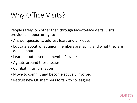### Why Office Visits?

People rarely join other than through face-to-face visits. Visits provide an opportunity to:

- Answer questions, address fears and anxieties
- Educate about what union members are facing and what they are doing about it
- Learn about potential member's issues
- Agitate around those issues
- Combat misinformation
- Move to commit and become actively involved
- Recruit new OC members to talk to colleagues

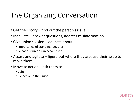#### The Organizing Conversation

- Get their story find out the person's issue
- Inoculate answer questions, address misinformation
- Give union's vision educate about:
	- Importance of standing together
	- What our union can accomplish
- Assess and agitate figure out where they are, use their issue to move them
- Move to action ask them to:
	- Join
	- Be active in the union

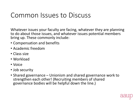#### Common Issues to Discuss

Whatever issues your faculty are facing, whatever they are planning to do about those issues, and whatever issues potential members bring up. These commonly include:

- Compensation and benefits
- Academic freedom
- Class size
- Workload
- Voice
- Job security
- Shared governance Unionism and shared governance work to strengthen each other! (Recruiting members of shared governance bodies will be helpful down the line.)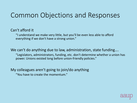#### Common Objections and Responses

#### Can't afford it

"I understand we make very little, but you'll be even less able to afford everything if we don't have a strong union."

We can't do anything due to law, administration, state funding…. "Legislators, administrators, funding, etc. don't determine whether a union has power. Unions existed long before union-friendly policies."

My colleagues aren't going to join/do anything

"You have to create the momentum."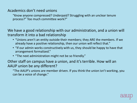#### Academics don't need unions

"Know anyone compressed? Underpaid? Struggling with an unclear tenure process?" Too much committee work?"

We have a good relationship with our administration, and a union will transform it into a bad relationship

- "Unions aren't an entity outside their members; they ARE the members. If we already have a positive relationship, then our union will reflect that."
- "If our admin works constructively with us, they should be happy to have that arrangement formalized."
- "The next administration might not be so friendly."

#### Other staff on campus have a union, and it's terrible. How will an AAUP union be any different?

"The AAUP's unions are member driven. If you think the union isn't working, you can be a voice of change."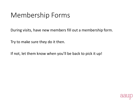#### Membership Forms

During visits, have new members fill out a membership form.

Try to make sure they do it then.

If not, let them know when you'll be back to pick it up!

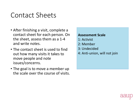#### Contact Sheets

- After finishing a visit, complete a contact sheet for each person. On the sheet, assess them as a 1-4 and write notes.
- The contact sheet is used to find out how many visits it takes to move people and note issues/concerns.
- The goal is to move a member up the scale over the course of visits.

#### **Assessment Scale**

- 1: Activist
- 2: Member
- 3: Undecided
- 4: Anti-union, will not join

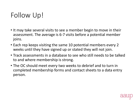### Follow Up!

- It may take several visits to see a member begin to move in their assessment. The average is 6-7 visits before a potential member joins.
- Each rep keeps visiting the same 10 potential members every 2 weeks until they have signed up or stated they will not join.
- Track assessments in a database to see who still needs to be talked to and where membership is strong.
- The OC should meet every two weeks to debrief and to turn in completed membership forms and contact sheets to a data entry person.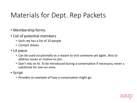#### Materials for Dept. Rep Packets

- Membership forms
- List of potential members
	- Each rep has a list of 10 people
	- Contact sheets
- Lit piece
	- Can be used occasionally as a reason to visit someone yet again. Also to address issues or motive to join.
	- Don't rely on lit. To be introduced during a conversation if necessary, never a substitute for one-on-ones.
- Script
	- Provides an example of how a conversation might go

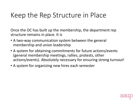#### Keep the Rep Structure in Place

Once the OC has built up the membership, the department rep structure remains in place. It is

- A two-way communication system between the general membership and union leadership
- A system for obtaining commitments for future actions/events (general membership meetings, rallies, protests, other actions/events). Absolutely necessary for ensuring strong turnout!
- A system for organizing new hires each semester